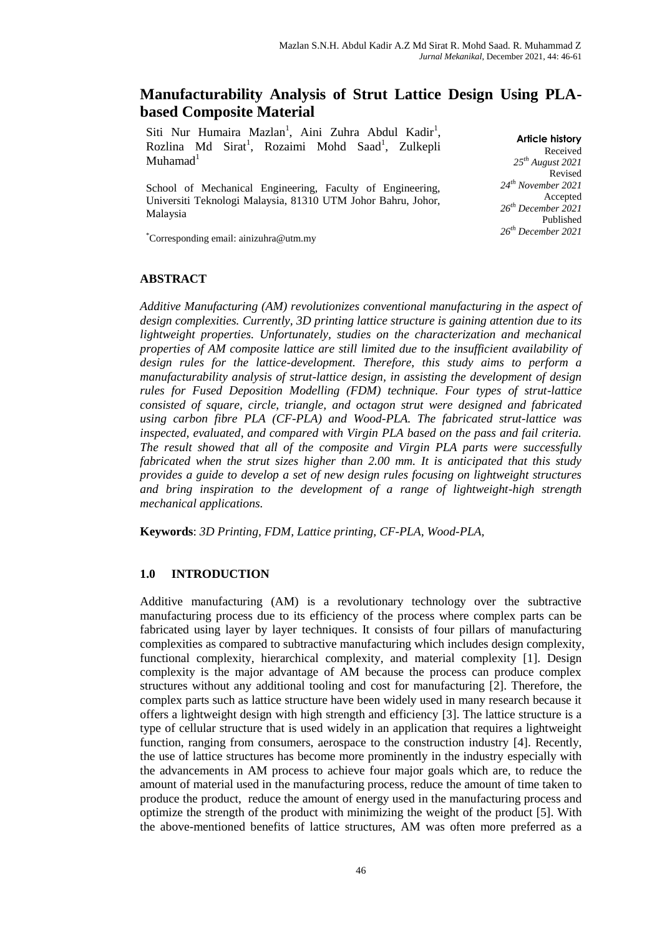# **Manufacturability Analysis of Strut Lattice Design Using PLAbased Composite Material**

Siti Nur Humaira Mazlan<sup>1</sup>, Aini Zuhra Abdul Kadir<sup>1</sup>, Rozlina Md Sirat<sup>1</sup>, Rozaimi Mohd Saad<sup>1</sup>, Zulkepli  $Muhamad<sup>1</sup>$ 

School of Mechanical Engineering, Faculty of Engineering, Universiti Teknologi Malaysia, 81310 UTM Johor Bahru, Johor, Malaysia

**Article history** Received *25 th August 2021* Revised *24th November 2021* Accepted *26 th December 2021* Published *26 th December 2021*

\*Corresponding email: ainizuhra@utm.my

### **ABSTRACT**

*Additive Manufacturing (AM) revolutionizes conventional manufacturing in the aspect of design complexities. Currently, 3D printing lattice structure is gaining attention due to its lightweight properties. Unfortunately, studies on the characterization and mechanical properties of AM composite lattice are still limited due to the insufficient availability of design rules for the lattice-development. Therefore, this study aims to perform a manufacturability analysis of strut-lattice design, in assisting the development of design rules for Fused Deposition Modelling (FDM) technique. Four types of strut-lattice consisted of square, circle, triangle, and octagon strut were designed and fabricated using carbon fibre PLA (CF-PLA) and Wood-PLA. The fabricated strut-lattice was inspected, evaluated, and compared with Virgin PLA based on the pass and fail criteria. The result showed that all of the composite and Virgin PLA parts were successfully fabricated when the strut sizes higher than 2.00 mm. It is anticipated that this study provides a guide to develop a set of new design rules focusing on lightweight structures and bring inspiration to the development of a range of lightweight-high strength mechanical applications.*

**Keywords**: *3D Printing, FDM, Lattice printing, CF-PLA, Wood-PLA,* 

### **1.0 INTRODUCTION**

Additive manufacturing (AM) is a revolutionary technology over the subtractive manufacturing process due to its efficiency of the process where complex parts can be fabricated using layer by layer techniques. It consists of four pillars of manufacturing complexities as compared to subtractive manufacturing which includes design complexity, functional complexity, hierarchical complexity, and material complexity [1]. Design complexity is the major advantage of AM because the process can produce complex structures without any additional tooling and cost for manufacturing [2]. Therefore, the complex parts such as lattice structure have been widely used in many research because it offers a lightweight design with high strength and efficiency [3]. The lattice structure is a type of cellular structure that is used widely in an application that requires a lightweight function, ranging from consumers, aerospace to the construction industry [4]. Recently, the use of lattice structures has become more prominently in the industry especially with the advancements in AM process to achieve four major goals which are, to reduce the amount of material used in the manufacturing process, reduce the amount of time taken to produce the product, reduce the amount of energy used in the manufacturing process and optimize the strength of the product with minimizing the weight of the product [5]. With the above-mentioned benefits of lattice structures, AM was often more preferred as a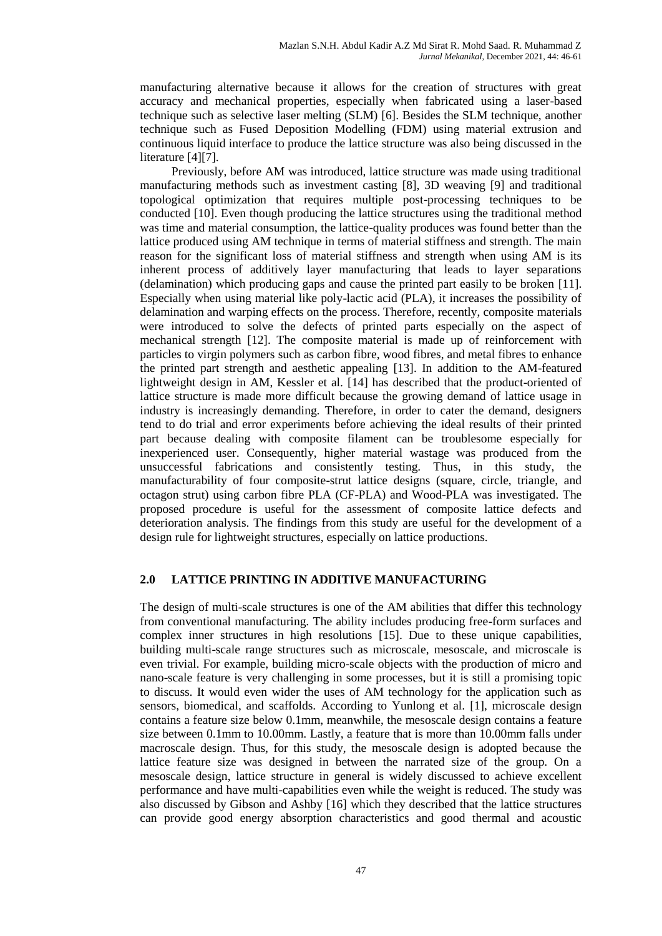manufacturing alternative because it allows for the creation of structures with great accuracy and mechanical properties, especially when fabricated using a laser-based technique such as selective laser melting (SLM) [6]. Besides the SLM technique, another technique such as Fused Deposition Modelling (FDM) using material extrusion and continuous liquid interface to produce the lattice structure was also being discussed in the literature [4][7].

Previously, before AM was introduced, lattice structure was made using traditional manufacturing methods such as investment casting [8], 3D weaving [9] and traditional topological optimization that requires multiple post-processing techniques to be conducted [10]. Even though producing the lattice structures using the traditional method was time and material consumption, the lattice-quality produces was found better than the lattice produced using AM technique in terms of material stiffness and strength. The main reason for the significant loss of material stiffness and strength when using AM is its inherent process of additively layer manufacturing that leads to layer separations (delamination) which producing gaps and cause the printed part easily to be broken [11]. Especially when using material like poly-lactic acid (PLA), it increases the possibility of delamination and warping effects on the process. Therefore, recently, composite materials were introduced to solve the defects of printed parts especially on the aspect of mechanical strength [12]. The composite material is made up of reinforcement with particles to virgin polymers such as carbon fibre, wood fibres, and metal fibres to enhance the printed part strength and aesthetic appealing [13]. In addition to the AM-featured lightweight design in AM, Kessler et al. [14] has described that the product-oriented of lattice structure is made more difficult because the growing demand of lattice usage in industry is increasingly demanding. Therefore, in order to cater the demand, designers tend to do trial and error experiments before achieving the ideal results of their printed part because dealing with composite filament can be troublesome especially for inexperienced user. Consequently, higher material wastage was produced from the unsuccessful fabrications and consistently testing. Thus, in this study, the manufacturability of four composite-strut lattice designs (square, circle, triangle, and octagon strut) using carbon fibre PLA (CF-PLA) and Wood-PLA was investigated. The proposed procedure is useful for the assessment of composite lattice defects and deterioration analysis. The findings from this study are useful for the development of a design rule for lightweight structures, especially on lattice productions.

# **2.0 LATTICE PRINTING IN ADDITIVE MANUFACTURING**

The design of multi-scale structures is one of the AM abilities that differ this technology from conventional manufacturing. The ability includes producing free-form surfaces and complex inner structures in high resolutions [15]. Due to these unique capabilities, building multi-scale range structures such as microscale, mesoscale, and microscale is even trivial. For example, building micro-scale objects with the production of micro and nano-scale feature is very challenging in some processes, but it is still a promising topic to discuss. It would even wider the uses of AM technology for the application such as sensors, biomedical, and scaffolds. According to Yunlong et al. [1], microscale design contains a feature size below 0.1mm, meanwhile, the mesoscale design contains a feature size between 0.1mm to 10.00mm. Lastly, a feature that is more than 10.00mm falls under macroscale design. Thus, for this study, the mesoscale design is adopted because the lattice feature size was designed in between the narrated size of the group. On a mesoscale design, lattice structure in general is widely discussed to achieve excellent performance and have multi-capabilities even while the weight is reduced. The study was also discussed by Gibson and Ashby [16] which they described that the lattice structures can provide good energy absorption characteristics and good thermal and acoustic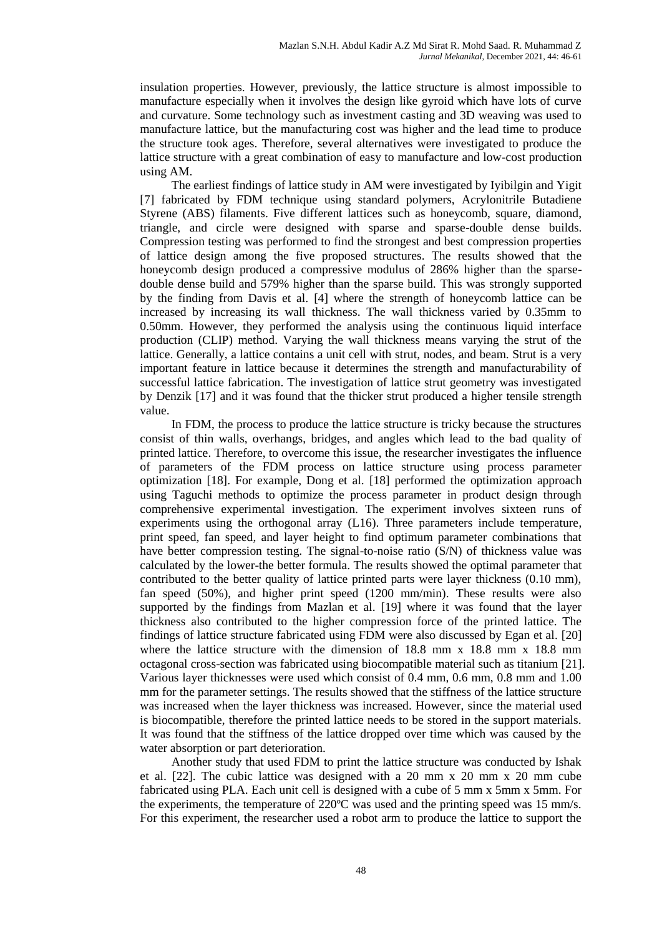insulation properties. However, previously, the lattice structure is almost impossible to manufacture especially when it involves the design like gyroid which have lots of curve and curvature. Some technology such as investment casting and 3D weaving was used to manufacture lattice, but the manufacturing cost was higher and the lead time to produce the structure took ages. Therefore, several alternatives were investigated to produce the lattice structure with a great combination of easy to manufacture and low-cost production using AM.

The earliest findings of lattice study in AM were investigated by Iyibilgin and Yigit [7] fabricated by FDM technique using standard polymers, Acrylonitrile Butadiene Styrene (ABS) filaments. Five different lattices such as honeycomb, square, diamond, triangle, and circle were designed with sparse and sparse-double dense builds. Compression testing was performed to find the strongest and best compression properties of lattice design among the five proposed structures. The results showed that the honeycomb design produced a compressive modulus of 286% higher than the sparsedouble dense build and 579% higher than the sparse build. This was strongly supported by the finding from Davis et al. [4] where the strength of honeycomb lattice can be increased by increasing its wall thickness. The wall thickness varied by 0.35mm to 0.50mm. However, they performed the analysis using the continuous liquid interface production (CLIP) method. Varying the wall thickness means varying the strut of the lattice. Generally, a lattice contains a unit cell with strut, nodes, and beam. Strut is a very important feature in lattice because it determines the strength and manufacturability of successful lattice fabrication. The investigation of lattice strut geometry was investigated by Denzik [17] and it was found that the thicker strut produced a higher tensile strength value.

In FDM, the process to produce the lattice structure is tricky because the structures consist of thin walls, overhangs, bridges, and angles which lead to the bad quality of printed lattice. Therefore, to overcome this issue, the researcher investigates the influence of parameters of the FDM process on lattice structure using process parameter optimization [18]. For example, Dong et al. [18] performed the optimization approach using Taguchi methods to optimize the process parameter in product design through comprehensive experimental investigation. The experiment involves sixteen runs of experiments using the orthogonal array (L16). Three parameters include temperature, print speed, fan speed, and layer height to find optimum parameter combinations that have better compression testing. The signal-to-noise ratio (S/N) of thickness value was calculated by the lower-the better formula. The results showed the optimal parameter that contributed to the better quality of lattice printed parts were layer thickness (0.10 mm), fan speed (50%), and higher print speed (1200 mm/min). These results were also supported by the findings from Mazlan et al. [19] where it was found that the layer thickness also contributed to the higher compression force of the printed lattice. The findings of lattice structure fabricated using FDM were also discussed by Egan et al. [20] where the lattice structure with the dimension of 18.8 mm x 18.8 mm x 18.8 mm octagonal cross-section was fabricated using biocompatible material such as titanium [21]. Various layer thicknesses were used which consist of 0.4 mm, 0.6 mm, 0.8 mm and 1.00 mm for the parameter settings. The results showed that the stiffness of the lattice structure was increased when the layer thickness was increased. However, since the material used is biocompatible, therefore the printed lattice needs to be stored in the support materials. It was found that the stiffness of the lattice dropped over time which was caused by the water absorption or part deterioration.

Another study that used FDM to print the lattice structure was conducted by Ishak et al. [22]. The cubic lattice was designed with a 20 mm x 20 mm x 20 mm cube fabricated using PLA. Each unit cell is designed with a cube of 5 mm x 5mm x 5mm. For the experiments, the temperature of 220ºC was used and the printing speed was 15 mm/s. For this experiment, the researcher used a robot arm to produce the lattice to support the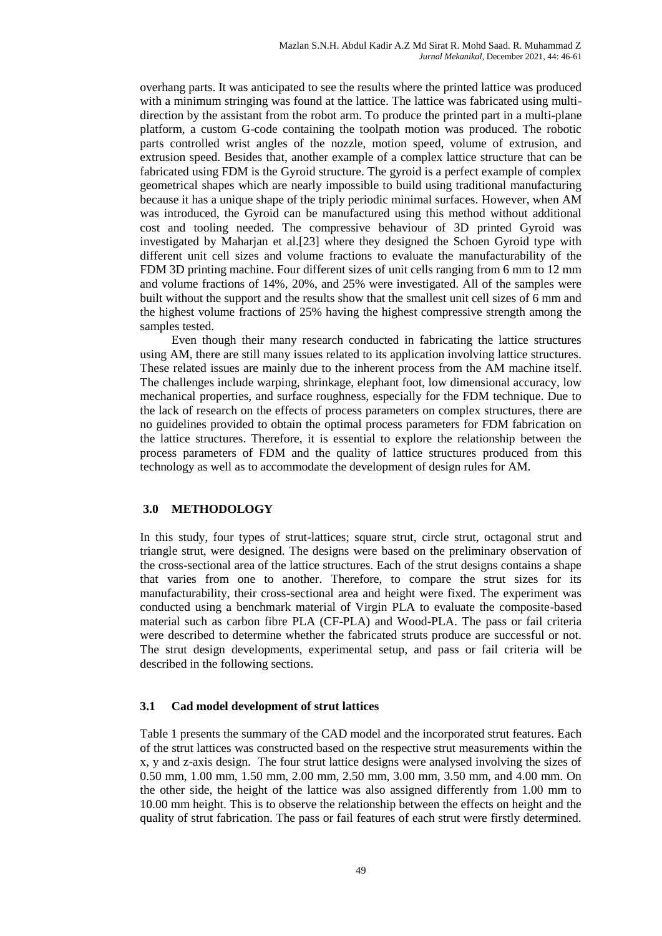overhang parts. It was anticipated to see the results where the printed lattice was produced with a minimum stringing was found at the lattice. The lattice was fabricated using multidirection by the assistant from the robot arm. To produce the printed part in a multi-plane platform, a custom G-code containing the toolpath motion was produced. The robotic parts controlled wrist angles of the nozzle, motion speed, volume of extrusion, and extrusion speed. Besides that, another example of a complex lattice structure that can be fabricated using FDM is the Gyroid structure. The gyroid is a perfect example of complex geometrical shapes which are nearly impossible to build using traditional manufacturing because it has a unique shape of the triply periodic minimal surfaces. However, when AM was introduced, the Gyroid can be manufactured using this method without additional cost and tooling needed. The compressive behaviour of 3D printed Gyroid was investigated by Maharjan et al.[23] where they designed the Schoen Gyroid type with different unit cell sizes and volume fractions to evaluate the manufacturability of the FDM 3D printing machine. Four different sizes of unit cells ranging from 6 mm to 12 mm and volume fractions of 14%, 20%, and 25% were investigated. All of the samples were built without the support and the results show that the smallest unit cell sizes of 6 mm and the highest volume fractions of 25% having the highest compressive strength among the samples tested.

Even though their many research conducted in fabricating the lattice structures using AM, there are still many issues related to its application involving lattice structures. These related issues are mainly due to the inherent process from the AM machine itself. The challenges include warping, shrinkage, elephant foot, low dimensional accuracy, low mechanical properties, and surface roughness, especially for the FDM technique. Due to the lack of research on the effects of process parameters on complex structures, there are no guidelines provided to obtain the optimal process parameters for FDM fabrication on the lattice structures. Therefore, it is essential to explore the relationship between the process parameters of FDM and the quality of lattice structures produced from this technology as well as to accommodate the development of design rules for AM.

# **3.0 METHODOLOGY**

In this study, four types of strut-lattices; square strut, circle strut, octagonal strut and triangle strut, were designed. The designs were based on the preliminary observation of the cross-sectional area of the lattice structures. Each of the strut designs contains a shape that varies from one to another. Therefore, to compare the strut sizes for its manufacturability, their cross-sectional area and height were fixed. The experiment was conducted using a benchmark material of Virgin PLA to evaluate the composite-based material such as carbon fibre PLA (CF-PLA) and Wood-PLA. The pass or fail criteria were described to determine whether the fabricated struts produce are successful or not. The strut design developments, experimental setup, and pass or fail criteria will be described in the following sections.

# **3.1 Cad model development of strut lattices**

Table 1 presents the summary of the CAD model and the incorporated strut features. Each of the strut lattices was constructed based on the respective strut measurements within the x, y and z-axis design. The four strut lattice designs were analysed involving the sizes of 0.50 mm, 1.00 mm, 1.50 mm, 2.00 mm, 2.50 mm, 3.00 mm, 3.50 mm, and 4.00 mm. On the other side, the height of the lattice was also assigned differently from 1.00 mm to 10.00 mm height. This is to observe the relationship between the effects on height and the quality of strut fabrication. The pass or fail features of each strut were firstly determined.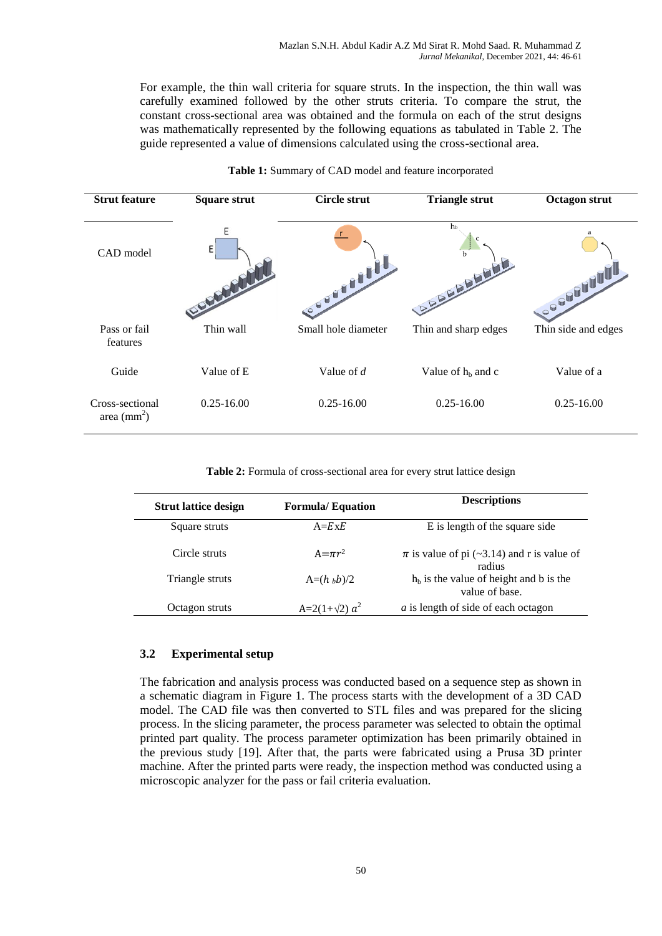For example, the thin wall criteria for square struts. In the inspection, the thin wall was carefully examined followed by the other struts criteria. To compare the strut, the constant cross-sectional area was obtained and the formula on each of the strut designs was mathematically represented by the following equations as tabulated in Table 2. The guide represented a value of dimensions calculated using the cross-sectional area.

| <b>Strut feature</b>                      | <b>Square strut</b> | <b>Circle strut</b> | <b>Triangle strut</b>               | <b>Octagon strut</b> |
|-------------------------------------------|---------------------|---------------------|-------------------------------------|----------------------|
| CAD model                                 | E<br>E              | <b>COUNTY</b>       | h <sub>b</sub><br><b>DRAMANALIA</b> | <b>OBBBBBB</b>       |
| Pass or fail<br>features                  | Thin wall           | Small hole diameter | Thin and sharp edges                | Thin side and edges  |
| Guide                                     | Value of E          | Value of $d$        | Value of $h_b$ and c                | Value of a           |
| Cross-sectional<br>area $\text{(mm)}^2$ ) | $0.25 - 16.00$      | $0.25 - 16.00$      | $0.25 - 16.00$                      | $0.25 - 16.00$       |

### **Table 1:** Summary of CAD model and feature incorporated

**Table 2:** Formula of cross-sectional area for every strut lattice design

| <b>Strut lattice design</b> | <b>Formula/Equation</b> | <b>Descriptions</b>                                        |
|-----------------------------|-------------------------|------------------------------------------------------------|
| Square struts               | $A=ExE$                 | E is length of the square side                             |
| Circle struts               | $A = \pi r^2$           | $\pi$ is value of pi (~3.14) and r is value of<br>radius   |
| Triangle struts             | $A=(h_b b)/2$           | $hb$ is the value of height and b is the<br>value of base. |
| Octagon struts              | $A=2(1+\sqrt{2}) a^2$   | <i>a</i> is length of side of each octagon                 |

# **3.2 Experimental setup**

The fabrication and analysis process was conducted based on a sequence step as shown in a schematic diagram in Figure 1. The process starts with the development of a 3D CAD model. The CAD file was then converted to STL files and was prepared for the slicing process. In the slicing parameter, the process parameter was selected to obtain the optimal printed part quality. The process parameter optimization has been primarily obtained in the previous study [19]. After that, the parts were fabricated using a Prusa 3D printer machine. After the printed parts were ready, the inspection method was conducted using a microscopic analyzer for the pass or fail criteria evaluation.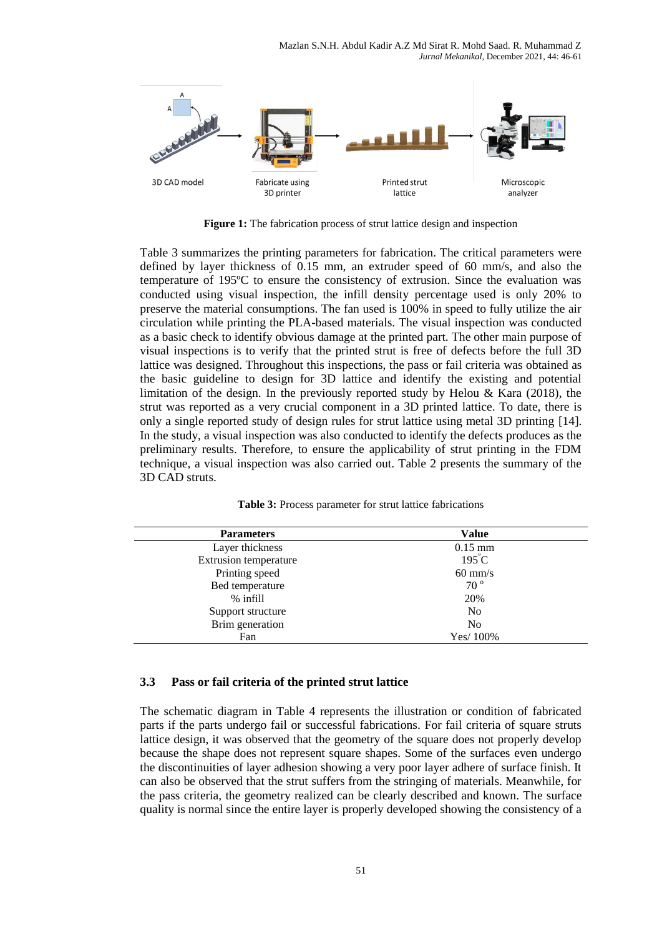

**Figure 1:** The fabrication process of strut lattice design and inspection

Table 3 summarizes the printing parameters for fabrication. The critical parameters were defined by layer thickness of 0.15 mm, an extruder speed of 60 mm/s, and also the temperature of 195ºC to ensure the consistency of extrusion. Since the evaluation was conducted using visual inspection, the infill density percentage used is only 20% to preserve the material consumptions. The fan used is 100% in speed to fully utilize the air circulation while printing the PLA-based materials. The visual inspection was conducted as a basic check to identify obvious damage at the printed part. The other main purpose of visual inspections is to verify that the printed strut is free of defects before the full 3D lattice was designed. Throughout this inspections, the pass or fail criteria was obtained as the basic guideline to design for 3D lattice and identify the existing and potential limitation of the design. In the previously reported study by Helou & Kara  $(2018)$ , the strut was reported as a very crucial component in a 3D printed lattice. To date, there is only a single reported study of design rules for strut lattice using metal 3D printing [14]. In the study, a visual inspection was also conducted to identify the defects produces as the preliminary results. Therefore, to ensure the applicability of strut printing in the FDM technique, a visual inspection was also carried out. Table 2 presents the summary of the 3D CAD struts.

| <b>Parameters</b>     | <b>Value</b>      |
|-----------------------|-------------------|
| Layer thickness       | $0.15$ mm         |
| Extrusion temperature | $195^{\circ}$ C   |
| Printing speed        | $60 \text{ mm/s}$ |
| Bed temperature       | $70^{\circ}$      |
| $%$ infill            | 20%               |
| Support structure     | N <sub>0</sub>    |
| Brim generation       | No                |
| Fan                   | Yes/100%          |

**Table 3:** Process parameter for strut lattice fabrications

# **3.3 Pass or fail criteria of the printed strut lattice**

The schematic diagram in Table 4 represents the illustration or condition of fabricated parts if the parts undergo fail or successful fabrications. For fail criteria of square struts lattice design, it was observed that the geometry of the square does not properly develop because the shape does not represent square shapes. Some of the surfaces even undergo the discontinuities of layer adhesion showing a very poor layer adhere of surface finish. It can also be observed that the strut suffers from the stringing of materials. Meanwhile, for the pass criteria, the geometry realized can be clearly described and known. The surface quality is normal since the entire layer is properly developed showing the consistency of a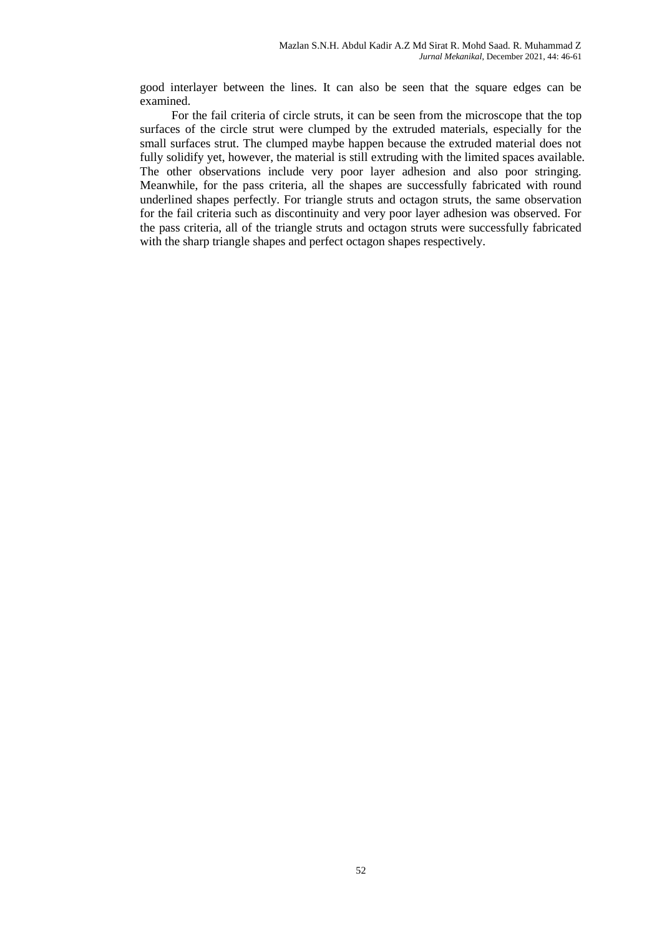good interlayer between the lines. It can also be seen that the square edges can be examined.

For the fail criteria of circle struts, it can be seen from the microscope that the top surfaces of the circle strut were clumped by the extruded materials, especially for the small surfaces strut. The clumped maybe happen because the extruded material does not fully solidify yet, however, the material is still extruding with the limited spaces available. The other observations include very poor layer adhesion and also poor stringing. Meanwhile, for the pass criteria, all the shapes are successfully fabricated with round underlined shapes perfectly. For triangle struts and octagon struts, the same observation for the fail criteria such as discontinuity and very poor layer adhesion was observed. For the pass criteria, all of the triangle struts and octagon struts were successfully fabricated with the sharp triangle shapes and perfect octagon shapes respectively.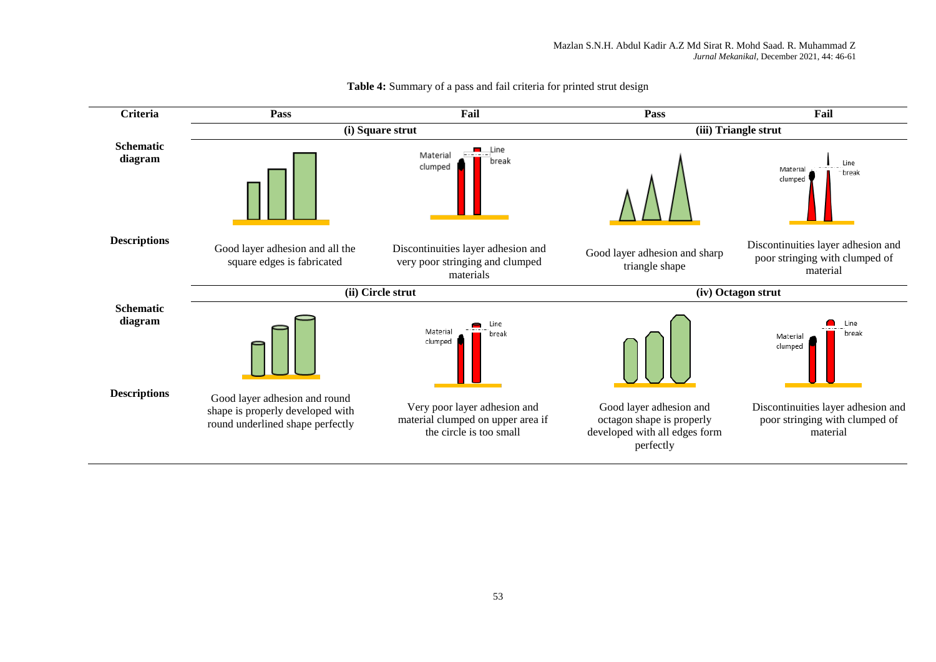

#### **Table 4:** Summary of a pass and fail criteria for printed strut design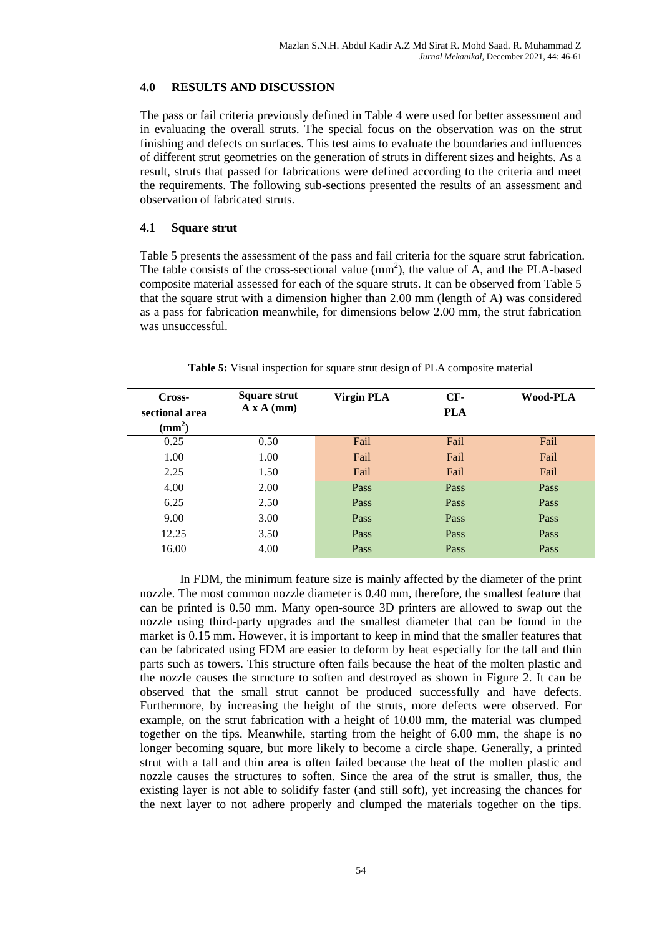# **4.0 RESULTS AND DISCUSSION**

The pass or fail criteria previously defined in Table 4 were used for better assessment and in evaluating the overall struts. The special focus on the observation was on the strut finishing and defects on surfaces. This test aims to evaluate the boundaries and influences of different strut geometries on the generation of struts in different sizes and heights. As a result, struts that passed for fabrications were defined according to the criteria and meet the requirements. The following sub-sections presented the results of an assessment and observation of fabricated struts.

# **4.1 Square strut**

Table 5 presents the assessment of the pass and fail criteria for the square strut fabrication. The table consists of the cross-sectional value  $(mm<sup>2</sup>)$ , the value of A, and the PLA-based composite material assessed for each of the square struts. It can be observed from Table 5 that the square strut with a dimension higher than 2.00 mm (length of A) was considered as a pass for fabrication meanwhile, for dimensions below 2.00 mm, the strut fabrication was unsuccessful.

| Cross-<br>sectional area<br>$\text{mm}^2$ ) | Square strut<br>A x A (mm) | <b>Virgin PLA</b> | $CF-$<br><b>PLA</b> | Wood-PLA |
|---------------------------------------------|----------------------------|-------------------|---------------------|----------|
| 0.25                                        | 0.50                       | Fail              | Fail                | Fail     |
| 1.00                                        | 1.00                       | Fail              | Fail                | Fail     |
| 2.25                                        | 1.50                       | Fail              | Fail                | Fail     |
| 4.00                                        | 2.00                       | Pass              | Pass                | Pass     |
| 6.25                                        | 2.50                       | Pass              | Pass                | Pass     |
| 9.00                                        | 3.00                       | Pass              | Pass                | Pass     |
| 12.25                                       | 3.50                       | Pass              | Pass                | Pass     |
| 16.00                                       | 4.00                       | Pass              | Pass                | Pass     |

**Table 5:** Visual inspection for square strut design of PLA composite material

In FDM, the minimum feature size is mainly affected by the diameter of the print nozzle. The most common nozzle diameter is 0.40 mm, therefore, the smallest feature that can be printed is 0.50 mm. Many open-source 3D printers are allowed to swap out the nozzle using third-party upgrades and the smallest diameter that can be found in the market is 0.15 mm. However, it is important to keep in mind that the smaller features that can be fabricated using FDM are easier to deform by heat especially for the tall and thin parts such as towers. This structure often fails because the heat of the molten plastic and the nozzle causes the structure to soften and destroyed as shown in Figure 2. It can be observed that the small strut cannot be produced successfully and have defects. Furthermore, by increasing the height of the struts, more defects were observed. For example, on the strut fabrication with a height of 10.00 mm, the material was clumped together on the tips. Meanwhile, starting from the height of 6.00 mm, the shape is no longer becoming square, but more likely to become a circle shape. Generally, a printed strut with a tall and thin area is often failed because the heat of the molten plastic and nozzle causes the structures to soften. Since the area of the strut is smaller, thus, the existing layer is not able to solidify faster (and still soft), yet increasing the chances for the next layer to not adhere properly and clumped the materials together on the tips.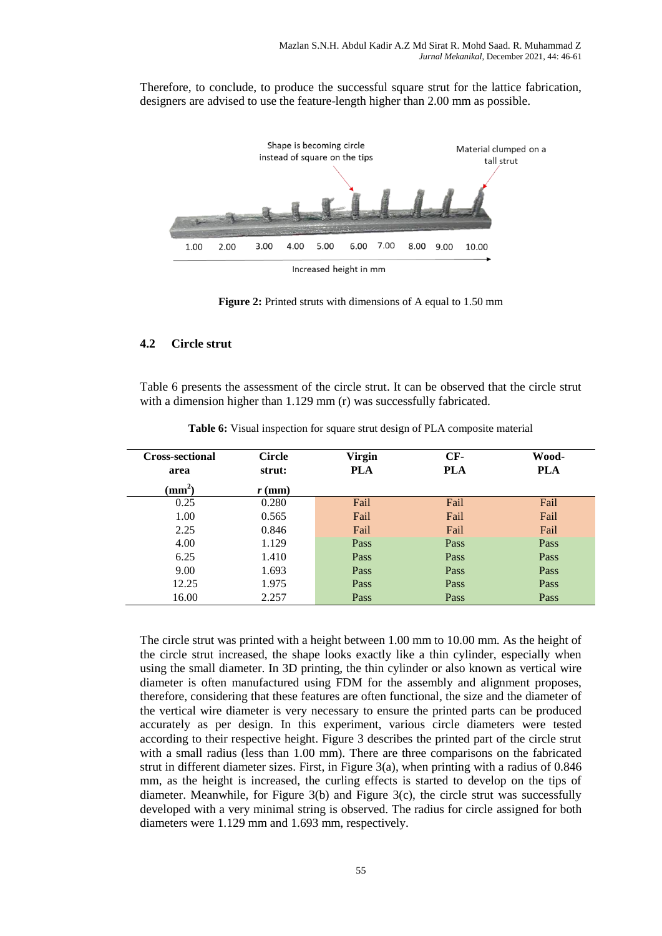Therefore, to conclude, to produce the successful square strut for the lattice fabrication, designers are advised to use the feature-length higher than 2.00 mm as possible.



**Figure 2:** Printed struts with dimensions of A equal to 1.50 mm

# **4.2 Circle strut**

Table 6 presents the assessment of the circle strut. It can be observed that the circle strut with a dimension higher than 1.129 mm (r) was successfully fabricated.

| <b>Cross-sectional</b><br>area | <b>Circle</b><br>strut: | <b>Virgin</b><br><b>PLA</b> | $CF-$<br><b>PLA</b> | Wood-<br><b>PLA</b> |
|--------------------------------|-------------------------|-----------------------------|---------------------|---------------------|
| $\mathrm{(mm^2)}$              | $r$ (mm)                |                             |                     |                     |
| 0.25                           | 0.280                   | Fail                        | Fail                | Fail                |
| 1.00                           | 0.565                   | Fail                        | Fail                | Fail                |
| 2.25                           | 0.846                   | Fail                        | Fail                | Fail                |
| 4.00                           | 1.129                   | Pass                        | Pass                | Pass                |
| 6.25                           | 1.410                   | Pass                        | Pass                | Pass                |
| 9.00                           | 1.693                   | Pass                        | Pass                | Pass                |
| 12.25                          | 1.975                   | Pass                        | Pass                | Pass                |
| 16.00                          | 2.257                   | Pass                        | Pass                | Pass                |

**Table 6:** Visual inspection for square strut design of PLA composite material

The circle strut was printed with a height between 1.00 mm to 10.00 mm. As the height of the circle strut increased, the shape looks exactly like a thin cylinder, especially when using the small diameter. In 3D printing, the thin cylinder or also known as vertical wire diameter is often manufactured using FDM for the assembly and alignment proposes, therefore, considering that these features are often functional, the size and the diameter of the vertical wire diameter is very necessary to ensure the printed parts can be produced accurately as per design. In this experiment, various circle diameters were tested according to their respective height. Figure 3 describes the printed part of the circle strut with a small radius (less than 1.00 mm). There are three comparisons on the fabricated strut in different diameter sizes. First, in Figure  $3(a)$ , when printing with a radius of 0.846 mm, as the height is increased, the curling effects is started to develop on the tips of diameter. Meanwhile, for Figure 3(b) and Figure 3(c), the circle strut was successfully developed with a very minimal string is observed. The radius for circle assigned for both diameters were 1.129 mm and 1.693 mm, respectively.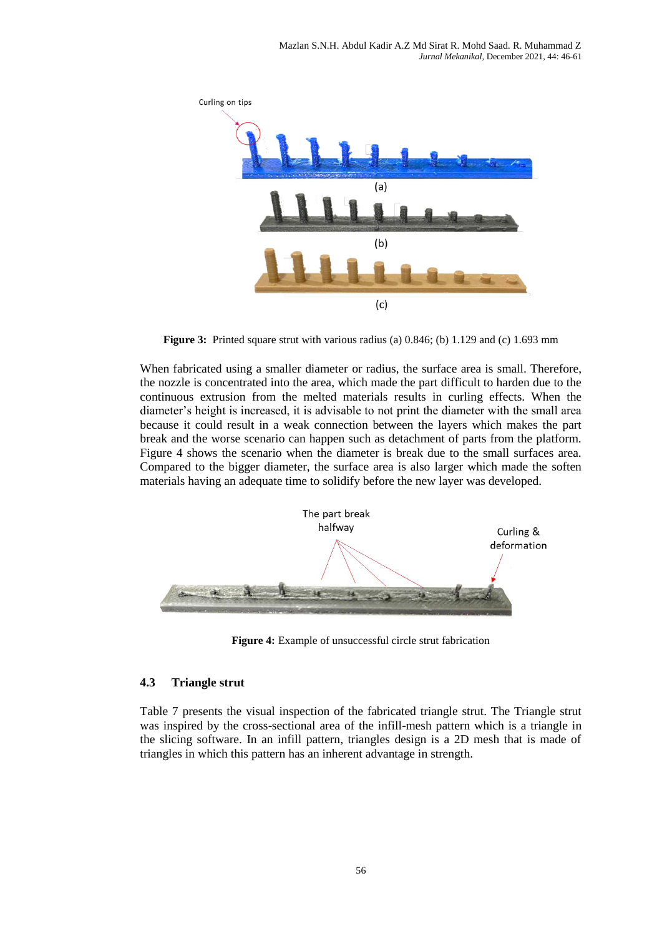

**Figure 3:** Printed square strut with various radius (a) 0.846; (b) 1.129 and (c) 1.693 mm

When fabricated using a smaller diameter or radius, the surface area is small. Therefore, the nozzle is concentrated into the area, which made the part difficult to harden due to the continuous extrusion from the melted materials results in curling effects. When the diameter's height is increased, it is advisable to not print the diameter with the small area because it could result in a weak connection between the layers which makes the part break and the worse scenario can happen such as detachment of parts from the platform. Figure 4 shows the scenario when the diameter is break due to the small surfaces area. Compared to the bigger diameter, the surface area is also larger which made the soften materials having an adequate time to solidify before the new layer was developed.



**Figure 4:** Example of unsuccessful circle strut fabrication

# **4.3 Triangle strut**

Table 7 presents the visual inspection of the fabricated triangle strut. The Triangle strut was inspired by the cross-sectional area of the infill-mesh pattern which is a triangle in the slicing software. In an infill pattern, triangles design is a 2D mesh that is made of triangles in which this pattern has an inherent advantage in strength.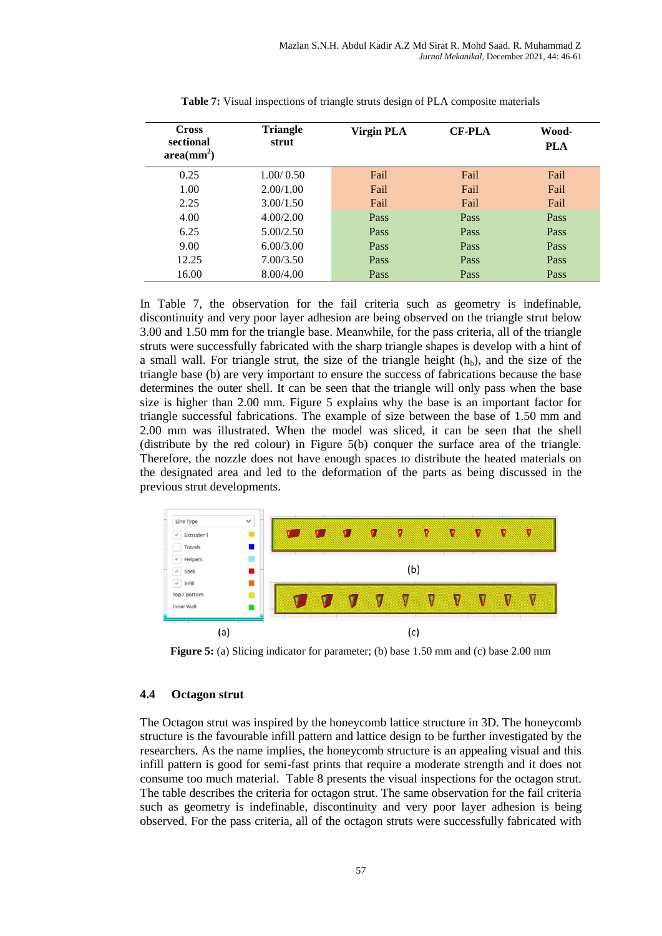| <b>Cross</b><br>sectional<br>area(mm <sup>2</sup> ) | <b>Triangle</b><br>strut | <b>Virgin PLA</b> | <b>CF-PLA</b> | Wood-<br><b>PLA</b> |
|-----------------------------------------------------|--------------------------|-------------------|---------------|---------------------|
| 0.25                                                | 1.00/0.50                | Fail              | Fail          | Fail                |
| 1.00                                                | 2.00/1.00                | Fail              | Fail          | Fail                |
| 2.25                                                | 3.00/1.50                | Fail              | Fail          | Fail                |
| 4.00                                                | 4.00/2.00                | <b>Pass</b>       | Pass          | Pass                |
| 6.25                                                | 5.00/2.50                | Pass              | Pass          | Pass                |
| 9.00                                                | 6.00/3.00                | Pass              | Pass          | Pass                |
| 12.25                                               | 7.00/3.50                | <b>Pass</b>       | Pass          | Pass                |
| 16.00                                               | 8.00/4.00                | Pass              | Pass          | Pass                |

**Table 7:** Visual inspections of triangle struts design of PLA composite materials

In Table 7, the observation for the fail criteria such as geometry is indefinable, discontinuity and very poor layer adhesion are being observed on the triangle strut below 3.00 and 1.50 mm for the triangle base. Meanwhile, for the pass criteria, all of the triangle struts were successfully fabricated with the sharp triangle shapes is develop with a hint of a small wall. For triangle strut, the size of the triangle height  $(h_h)$ , and the size of the triangle base (b) are very important to ensure the success of fabrications because the base determines the outer shell. It can be seen that the triangle will only pass when the base size is higher than 2.00 mm. Figure 5 explains why the base is an important factor for triangle successful fabrications. The example of size between the base of 1.50 mm and 2.00 mm was illustrated. When the model was sliced, it can be seen that the shell (distribute by the red colour) in Figure 5(b) conquer the surface area of the triangle. Therefore, the nozzle does not have enough spaces to distribute the heated materials on the designated area and led to the deformation of the parts as being discussed in the previous strut developments.



**Figure 5:** (a) Slicing indicator for parameter; (b) base 1.50 mm and (c) base 2.00 mm

# **4.4 Octagon strut**

The Octagon strut was inspired by the honeycomb lattice structure in 3D. The honeycomb structure is the favourable infill pattern and lattice design to be further investigated by the researchers. As the name implies, the honeycomb structure is an appealing visual and this infill pattern is good for semi-fast prints that require a moderate strength and it does not consume too much material. Table 8 presents the visual inspections for the octagon strut. The table describes the criteria for octagon strut. The same observation for the fail criteria such as geometry is indefinable, discontinuity and very poor layer adhesion is being observed. For the pass criteria, all of the octagon struts were successfully fabricated with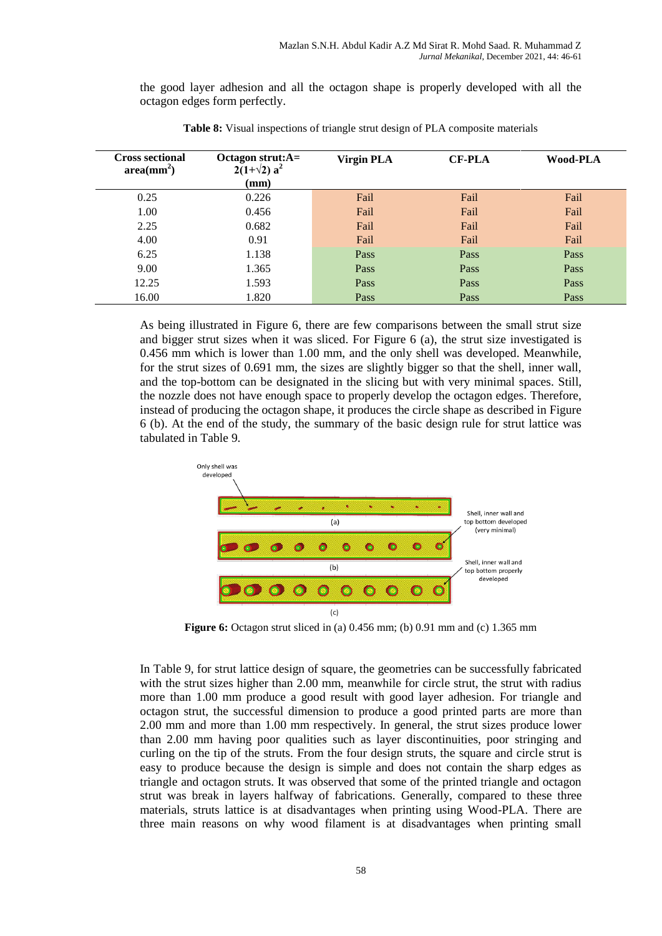the good layer adhesion and all the octagon shape is properly developed with all the octagon edges form perfectly.

| <b>Cross sectional</b><br>$area(mm^2)$ | Octagon strut: $A=$<br>$2(1+\sqrt{2}) a^2$<br>$(\mathbf{mm})$ | <b>Virgin PLA</b> | <b>CF-PLA</b> | Wood-PLA |
|----------------------------------------|---------------------------------------------------------------|-------------------|---------------|----------|
| 0.25                                   | 0.226                                                         | Fail              | Fail          | Fail     |
| 1.00                                   | 0.456                                                         | Fail              | Fail          | Fail     |
| 2.25                                   | 0.682                                                         | Fail              | Fail          | Fail     |
| 4.00                                   | 0.91                                                          | Fail              | Fail          | Fail     |
| 6.25                                   | 1.138                                                         | Pass              | Pass          | Pass     |
| 9.00                                   | 1.365                                                         | Pass              | Pass          | Pass     |
| 12.25                                  | 1.593                                                         | Pass              | Pass          | Pass     |
| 16.00                                  | 1.820                                                         | Pass              | Pass          | Pass     |

**Table 8:** Visual inspections of triangle strut design of PLA composite materials

As being illustrated in Figure 6, there are few comparisons between the small strut size and bigger strut sizes when it was sliced. For Figure 6 (a), the strut size investigated is 0.456 mm which is lower than 1.00 mm, and the only shell was developed. Meanwhile, for the strut sizes of 0.691 mm, the sizes are slightly bigger so that the shell, inner wall, and the top-bottom can be designated in the slicing but with very minimal spaces. Still, the nozzle does not have enough space to properly develop the octagon edges. Therefore, instead of producing the octagon shape, it produces the circle shape as described in Figure 6 (b). At the end of the study, the summary of the basic design rule for strut lattice was tabulated in Table 9.



**Figure 6:** Octagon strut sliced in (a) 0.456 mm; (b) 0.91 mm and (c) 1.365 mm

In Table 9, for strut lattice design of square, the geometries can be successfully fabricated with the strut sizes higher than 2.00 mm, meanwhile for circle strut, the strut with radius more than 1.00 mm produce a good result with good layer adhesion. For triangle and octagon strut, the successful dimension to produce a good printed parts are more than 2.00 mm and more than 1.00 mm respectively. In general, the strut sizes produce lower than 2.00 mm having poor qualities such as layer discontinuities, poor stringing and curling on the tip of the struts. From the four design struts, the square and circle strut is easy to produce because the design is simple and does not contain the sharp edges as triangle and octagon struts. It was observed that some of the printed triangle and octagon strut was break in layers halfway of fabrications. Generally, compared to these three materials, struts lattice is at disadvantages when printing using Wood-PLA. There are three main reasons on why wood filament is at disadvantages when printing small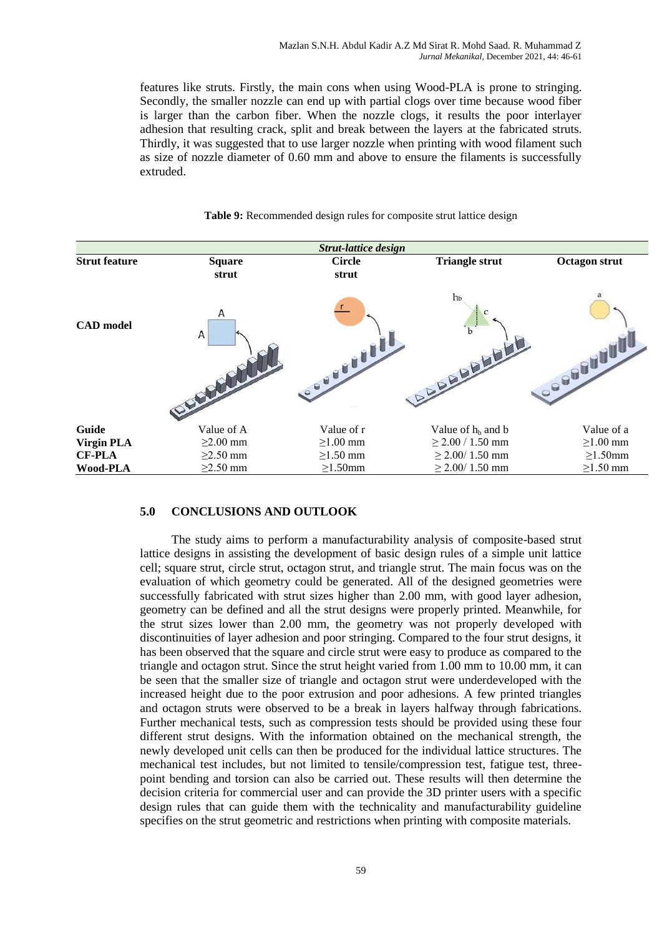features like struts. Firstly, the main cons when using Wood-PLA is prone to stringing. Secondly, the smaller nozzle can end up with partial clogs over time because wood fiber is larger than the carbon fiber. When the nozzle clogs, it results the poor interlayer adhesion that resulting crack, split and break between the layers at the fabricated struts. Thirdly, it was suggested that to use larger nozzle when printing with wood filament such as size of nozzle diameter of 0.60 mm and above to ensure the filaments is successfully extruded.

|                            |                                  | <b>Strut-lattice design</b>     |                                                 |                                 |
|----------------------------|----------------------------------|---------------------------------|-------------------------------------------------|---------------------------------|
| <b>Strut feature</b>       | <b>Square</b><br>strut           | <b>Circle</b><br>strut          | <b>Triangle strut</b>                           | <b>Octagon strut</b>            |
| <b>CAD</b> model           | A<br>Α                           | Courtly L                       | h <sub>b</sub><br><b>BARADADA</b>               | COODBUD.                        |
| Guide<br><b>Virgin PLA</b> | Value of A<br>$\geq$ 2.00 mm     | Value of r<br>$\geq$ 1.00 mm    | Value of $h_b$ and $b$<br>$\geq$ 2.00 / 1.50 mm | Value of a<br>$\geq$ 1.00 mm    |
| <b>CF-PLA</b><br>Wood-PLA  | $\geq$ 2.50 mm<br>$\geq$ 2.50 mm | $\geq$ 1.50 mm<br>$\geq$ 1.50mm | $\geq$ 2.00/ 1.50 mm<br>$\geq$ 2.00/ 1.50 mm    | $\geq$ 1.50mm<br>$\geq$ 1.50 mm |

#### **Table 9:** Recommended design rules for composite strut lattice design

# **5.0 CONCLUSIONS AND OUTLOOK**

The study aims to perform a manufacturability analysis of composite-based strut lattice designs in assisting the development of basic design rules of a simple unit lattice cell; square strut, circle strut, octagon strut, and triangle strut. The main focus was on the evaluation of which geometry could be generated. All of the designed geometries were successfully fabricated with strut sizes higher than 2.00 mm, with good layer adhesion, geometry can be defined and all the strut designs were properly printed. Meanwhile, for the strut sizes lower than 2.00 mm, the geometry was not properly developed with discontinuities of layer adhesion and poor stringing. Compared to the four strut designs, it has been observed that the square and circle strut were easy to produce as compared to the triangle and octagon strut. Since the strut height varied from 1.00 mm to 10.00 mm, it can be seen that the smaller size of triangle and octagon strut were underdeveloped with the increased height due to the poor extrusion and poor adhesions. A few printed triangles and octagon struts were observed to be a break in layers halfway through fabrications. Further mechanical tests, such as compression tests should be provided using these four different strut designs. With the information obtained on the mechanical strength, the newly developed unit cells can then be produced for the individual lattice structures. The mechanical test includes, but not limited to tensile/compression test, fatigue test, threepoint bending and torsion can also be carried out. These results will then determine the decision criteria for commercial user and can provide the 3D printer users with a specific design rules that can guide them with the technicality and manufacturability guideline specifies on the strut geometric and restrictions when printing with composite materials.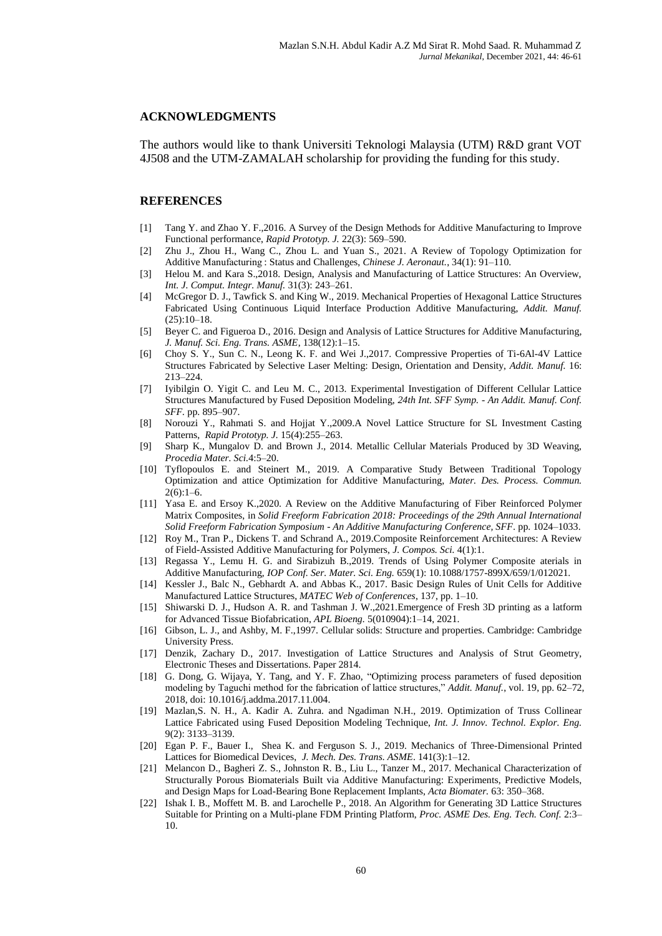### **ACKNOWLEDGMENTS**

The authors would like to thank Universiti Teknologi Malaysia (UTM) R&D grant VOT 4J508 and the UTM-ZAMALAH scholarship for providing the funding for this study.

#### **REFERENCES**

- [1] Tang Y. and Zhao Y. F.,2016. A Survey of the Design Methods for Additive Manufacturing to Improve Functional performance, *Rapid Prototyp. J.* 22(3): 569–590.
- [2] Zhu J., Zhou H., Wang C., Zhou L. and Yuan S., 2021. A Review of Topology Optimization for Additive Manufacturing : Status and Challenges, *Chinese J. Aeronaut.*, 34(1): 91–110.
- [3] Helou M. and Kara S.,2018. Design, Analysis and Manufacturing of Lattice Structures: An Overview, *Int. J. Comput. Integr. Manuf.* 31(3): 243–261.
- [4] McGregor D. J., Tawfick S. and King W., 2019. Mechanical Properties of Hexagonal Lattice Structures Fabricated Using Continuous Liquid Interface Production Additive Manufacturing, *Addit. Manuf.*  $(25):10-18.$
- [5] Beyer C. and Figueroa D., 2016. Design and Analysis of Lattice Structures for Additive Manufacturing, *J. Manuf. Sci. Eng. Trans. ASME*, 138(12):1–15.
- [6] Choy S. Y., Sun C. N., Leong K. F. and Wei J.,2017. Compressive Properties of Ti-6Al-4V Lattice Structures Fabricated by Selective Laser Melting: Design, Orientation and Density, *Addit. Manuf.* 16: 213–224.
- [7] Iyibilgin O. Yigit C. and Leu M. C., 2013. Experimental Investigation of Different Cellular Lattice Structures Manufactured by Fused Deposition Modeling, *24th Int. SFF Symp. - An Addit. Manuf. Conf. SFF.* pp. 895–907.
- [8] Norouzi Y., Rahmati S. and Hojjat Y.,2009.A Novel Lattice Structure for SL Investment Casting Patterns, *Rapid Prototyp. J.* 15(4):255–263.
- [9] Sharp K., Mungalov D. and Brown J., 2014. Metallic Cellular Materials Produced by 3D Weaving, *Procedia Mater. Sci.*4:5–20.
- [10] Tyflopoulos E. and Steinert M., 2019. A Comparative Study Between Traditional Topology Optimization and attice Optimization for Additive Manufacturing, *Mater. Des. Process. Commun.*  $2(6):1-6.$
- [11] Yasa E. and Ersoy K.,2020. A Review on the Additive Manufacturing of Fiber Reinforced Polymer Matrix Composites, in *Solid Freeform Fabrication 2018: Proceedings of the 29th Annual International Solid Freeform Fabrication Symposium - An Additive Manufacturing Conference, SFF.* pp. 1024–1033.
- [12] Roy M., Tran P., Dickens T. and Schrand A., 2019.Composite Reinforcement Architectures: A Review of Field-Assisted Additive Manufacturing for Polymers, *J. Compos. Sci.* 4(1):1.
- [13] Regassa Y., Lemu H. G. and Sirabizuh B.,2019. Trends of Using Polymer Composite aterials in Additive Manufacturing, *IOP Conf. Ser. Mater. Sci. Eng.* 659(1): 10.1088/1757-899X/659/1/012021.
- [14] Kessler J., Balc N., Gebhardt A. and Abbas K., 2017. Basic Design Rules of Unit Cells for Additive Manufactured Lattice Structures, *MATEC Web of Conferences*, 137, pp. 1–10.
- [15] Shiwarski D. J., Hudson A. R. and Tashman J. W.,2021.Emergence of Fresh 3D printing as a latform for Advanced Tissue Biofabrication, *APL Bioeng.* 5(010904):1–14, 2021.
- [16] Gibson, L. J., and Ashby, M. F.,1997. Cellular solids: Structure and properties. Cambridge: Cambridge University Press.
- [17] Denzik, Zachary D., 2017. Investigation of Lattice Structures and Analysis of Strut Geometry, Electronic Theses and Dissertations. Paper 2814.
- [18] G. Dong, G. Wijaya, Y. Tang, and Y. F. Zhao, "Optimizing process parameters of fused deposition modeling by Taguchi method for the fabrication of lattice structures," *Addit. Manuf.*, vol. 19, pp. 62–72, 2018, doi: 10.1016/j.addma.2017.11.004.
- [19] Mazlan,S. N. H., A. Kadir A. Zuhra. and Ngadiman N.H., 2019. Optimization of Truss Collinear Lattice Fabricated using Fused Deposition Modeling Technique, *Int. J. Innov. Technol. Explor. Eng.* 9(2): 3133–3139.
- [20] Egan P. F., Bauer I., Shea K. and Ferguson S. J., 2019. Mechanics of Three-Dimensional Printed Lattices for Biomedical Devices, *J. Mech. Des. Trans. ASME*. 141(3):1–12.
- [21] Melancon D., Bagheri Z. S., Johnston R. B., Liu L., Tanzer M., 2017. Mechanical Characterization of Structurally Porous Biomaterials Built via Additive Manufacturing: Experiments, Predictive Models, and Design Maps for Load-Bearing Bone Replacement Implants, *Acta Biomater.* 63: 350–368.
- [22] Ishak I. B., Moffett M. B. and Larochelle P., 2018. An Algorithm for Generating 3D Lattice Structures Suitable for Printing on a Multi-plane FDM Printing Platform, *Proc. ASME Des. Eng. Tech. Conf.* 2:3– 10.